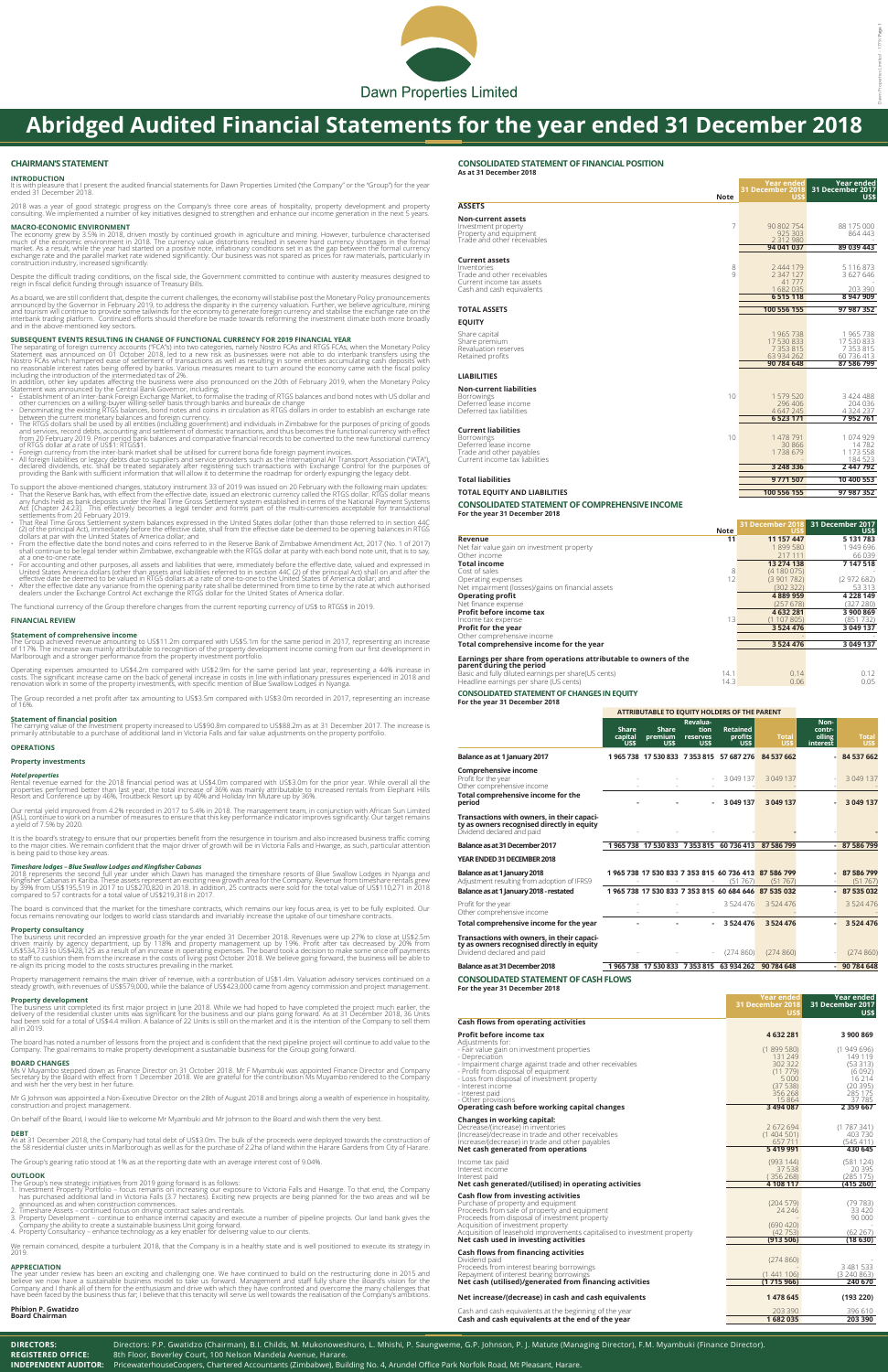## **CHAIRMAN'S STATEMENT**

#### **INTRODUCTION**

It is with pleasure that I present the audited financial statements for Dawn Properties Limited ('the Company" or the "Group") for the year ended 31 December 2018.

2018 was a year of good strategic progress on the Company's three core areas of hospitality, property development and property<br>consulting. We implemented a number of key initiatives designed to strengthen and enhance our i

## **MACRO-ECONOMIC ENVIRONMENT**

The economy grew by 3.5% in 2018, driven mostly by continued growth in agriculture and mining. However, turbulence characterised<br>much of the economic environment in 2018. The currency value distortions resulted in severe h construction industry, increased significantly.

As a board, we are still confident that, despite the current challenges, the economy will stabilise post the Monetary Policy pronouncements<br>announced by the Governor in February 2019, to address the disparity in the curren and in the above-mentioned key sectors.

**SUBSEQUENT EVENTS RESULTING IN CHANGE OF FUNCTIONAL CURRENCY FOR 2019 FINANCIAL YEAR**<br>The separating of foreign currency accounts ("FCA"s) into two categories, namely Nostro FCAs and RTGS FCAs, when the Monetary Policy<br>St Nostro FCAs which hampered ease of settlement of transactions as well as resulting in some entities accumulating cash deposits with no reasonable interest rates being offered by banks. Various measures meant to turn around the economy came with the fiscal policy<br>including the introduction of the intermediated tax of 2%.<br>In addition, other key updates a

- 
- 
- 
- between the current monetary balances and foreign currency.<br>The RTGS dollars shall be used by all entities (including government) and individuals in Zimbabwe for the purposes of pricing of goods<br>and services, record debts, of RTGS dollar at a rate of US\$1: RTGS\$1. • Foreign currency from the inter-bank market shall be utilised for current bona fide foreign payment invoices.
- 
- , "All foreign liabilities or legacy debts due to suppliers and service providers such as the International Air Transport Association ("IATA"),<br>declared dividends, etc. shall be treated separately after registering such tr providing the Bank with sufficient information that will allow it to determine the roadmap for orderly expunging the legacy debt.
- To support the above-mentioned changes, statutory instrument 33 of 2019 was issued on 20 February with the following main updates:<br>That the Reserve Bank has, with effect from the effective date, issued an electronic curren
- That Real Time Gross Settlement system balances expressed in the United States dollar (other than those referred to in section 44C<br>(2) of the principal Act), immediately before the effective date, shall from the effective
- dollars at par with the United States of America dollar; and From the effective date the bond notes and coins referred to in the Reserve Bank of Zimbabwe Amendment Act, 2017 (No. 1 of 2017) shall continue to be legal tender within Zimbabwe, exchangeable with the RTGS dollar at parity with each bond note unit, that is to say, at a one-to-one rate.
- For accounting and other purposes, all assets and liabilities that were, immediately before the effective date, valued and expressed in United States America dollars (other than assets and liabilities treferord to in se
- 

Despite the difficult trading conditions, on the fiscal side, the Government committed to continue with austerity measures designed to reign in fiscal deficit funding through issuance of Treasury Bills.

It is the board's strategy to ensure that our properties benefit from the resurgence in tourism and also increased business traffic coming<br>to the major cities. We remain confident that the major driver of growth will be in is being paid to those key areas.

**Timeshare lodges – Blue Swallow Lodges and Kingfisher Cabanas**<br>2018 represents the second full year under which Dawn has managed the timeshare resorts of Blue Swallow Lodges in Nyanga and<br>Kingfisher Cabanas in Kariba. The compared to 57 contracts for a total value of US\$219,318 in 2017.

The business unit completed its first major project in June 2018. While we had hoped to have completed the project much earlier, the<br>delivery of the residential cluster units was significant for the business and our plans all in 2019.

The functional currency of the Group therefore changes from the current reporting currency of US\$ to RTGS\$ in 2019.

## **FINANCIAL REVIEW**

## **Statement of comprehensive income**

The Group achieved revenue amounting to US\$11.2m compared with US\$5.1m for the same period in 2017, representing an increase<br>of 117%. The increase was mainly attributable to recognition of the property development income c

Operating expenses amounted to US\$4.2m compared with US\$2.9m for the same period last year, representing a 44% increase in<br>costs. The significant increase came on the back of general increase in costs in line with inflatio

The Group recorded a net profit after tax amounting to US\$3.5m compared with US\$3.0m recorded in 2017, representing an increase of 16%.

### **Statement of financial position**

The carrying value of the investment property increased to US\$90.8m compared to US\$88.2m as at 31 December 2017. The increase is primarily attributable to a purchase of additional land in Victoria Falls and fair value adjustments on the property portfolio.

# **OPERATIONS**

# **Property investments**

## *Hotel properties*

Rental revenue earned for the 2018 financial period was at US\$4.0m compared with US\$3.0m for the prior year. While overall all the<br>properties performed better than last year, the total increase of 36% was mainly attributab

Our rental yield improved from 4.2% recorded in 2017 to 5.4% in 2018. The management team, in conjunction with African Sun Limited (ASL), continue to work on a number of measures to ensure that this key performance indicator improves significantly. Our target remains a yield of 7.5% by 2020.

The board is convinced that the market for the timeshare contracts, which remains our key focus area, is yet to be fully exploited. Our focus remains renovating our lodges to world class standards and invariably increase the uptake of our timeshare contracts.

### **Property consultancy**

The business unit recorded an impressive growth for the year ended 31 December 2018. Revenues were up 27% to close at US\$2.5m<br>driven mainly by agency department, up by 118% and property management up by 19%. Profit after t

Property management remains the main driver of revenue, with a contribution of US\$1.4m. Valuation advisory services continued on a steady growth, with revenues of US\$579,000, while the balance of US\$423,000 came from agency commission and project management.

#### **Property development**

The board has noted a number of lessons from the project and is confident that the next pipeline project will continue to add value to the Company. The goal remains to make property development a sustainable business for the Group going forward.

#### **BOARD CHANGES**

Ms V Muyambo stepped down as Finance Director on 31 October 2018. Mr F Myambuki was appointed Finance Director and Company Secretary by the Board with effect from 1 December 2018. We are grateful for the contribution Ms Muyambo rendered to the Company and wish her the very best in her future.

Mr G Johnson was appointed a Non-Executive Director on the 28th of August 2018 and brings along a wealth of experience in hospitality, construction and project management.

On behalf of the Board, I would like to welcome Mr Myambuki and Mr Johnson to the Board and wish them the very best.

#### **DEBT**

As at 31 December 2018, the Company had total debt of US\$3.0m. The bulk of the proceeds were deployed towards the construction of<br>the 58 residential cluster units in Marlborough as well as for the purchase of 2.2ha of land

The Group's gearing ratio stood at 1% as at the reporting date with an average interest cost of 9.04%.

#### **OUTLOOK**

- The Group's new strategic initiatives from 2019 going forward is as follows:<br>1. Investment Property Portfolio focus remains on increasing our exposure to Victoria Falls and Hwange. To that end, the Company<br>has purchased
- 
- 2. Timeshare Assets continued focus on driving contract sales and rentals.<br>3. Property Development continue to enhance internal capacity and execute a number of pipeline projects. Our land bank gives the<br>- Company the
- 

We remain convinced, despite a turbulent 2018, that the Company is in a healthy state and is well positioned to execute its strategy in 2019.

### **APPRECIATION**

The year under review has been an exciting and challenging one. We have continued to build on the restructuring done in 2015 and<br>believe we now have a sustainable business model to take us forward. Management and staff ful Company and I thank all of them for the enthusiasm and drive with which they have confronted and overcome the many challenges that<br>have been faced by the business thus far; I believe that this tenacity will serve us well t

**Phibion P. Gwatidzo Board Chairman**

#### **CONSOLIDATED STATEMENT OF FINANCIAL POSITION**

**As at 31 December 2018**

|                                                        | <b>Note</b> | Year ended<br>31 December 2018<br>US\$ | Year ended<br>31 December 2017<br>US\$ |
|--------------------------------------------------------|-------------|----------------------------------------|----------------------------------------|
| <b>ASSETS</b>                                          |             |                                        |                                        |
| <b>Non-current assets</b>                              |             |                                        |                                        |
| Investment property                                    | 7           | 90 802 754                             | 88 175 000                             |
| Property and equipment<br>Trade and other receivables  |             | 925 303<br>2 3 1 2 9 8 0               | 864 443                                |
|                                                        |             | 94 041 037                             | 89 039 443                             |
| <b>Current assets</b>                                  |             |                                        |                                        |
| Inventories                                            | 8           | 2 444 179                              | 5 116 873                              |
| Trade and other receivables                            | 9           | 2 3 4 7 1 2 7                          | 3 627 646                              |
| Current income tax assets<br>Cash and cash equivalents |             | 41 777<br>1682035                      | 203 390                                |
|                                                        |             | 6515118                                | 8 947 909                              |
| <b>TOTAL ASSETS</b>                                    |             | 100 556 155                            | 97 987 352                             |
| <b>EQUITY</b>                                          |             |                                        |                                        |
|                                                        |             |                                        |                                        |
| Share capital                                          |             | 1965738                                | 1965738                                |
| Share premium<br>Revaluation reserves                  |             | 17 530 833<br>7 3 5 3 8 1 5            | 17 530 833<br>7 3 5 3 8 1 5            |
| Retained profits                                       |             | 63 934 262                             | 60 736 413                             |
|                                                        |             | 90 784 648                             | 87 586 799                             |
| <b>LIABILITIES</b>                                     |             |                                        |                                        |
| <b>Non-current liabilities</b>                         |             |                                        |                                        |
| <b>Borrowings</b>                                      | 10          | 1579520                                | 3 424 488                              |
| Deferred lease income<br>Deferred tax liabilities      |             | 296 406                                | 204 036<br>4 3 2 4 2 3 7               |
|                                                        |             | 4 647 245<br>6 5 23 1 71               | 7952761                                |
|                                                        |             |                                        |                                        |
| <b>Current liabilities</b><br><b>Borrowings</b>        | 10          | 1 478 791                              | 1 074 929                              |
| Deferred lease income                                  |             | 30 866                                 | 14782                                  |
| Trade and other payables                               |             | 1738679                                | 1 173 558                              |
| Current income tax liabilities                         |             | 3 248 336                              | 184 523<br>2 447 792                   |
|                                                        |             |                                        |                                        |
| <b>Total liabilities</b>                               |             | 9771507                                | 10 400 553                             |
| <b>TOTAL EQUITY AND LIABILITIES</b>                    |             | 100 556 155                            | 97 987 352                             |
| CONICOL IDATED CTATEMENIT OF COMPDELIENCIVE INCOME     |             |                                        |                                        |

**CONSOLIDATED STATEMENT OF COMPREHENSIVE INCOME For the year 31 December 2018**

|                                                                                              |             | <b>31 December 2018</b> | -31 December 2017 |
|----------------------------------------------------------------------------------------------|-------------|-------------------------|-------------------|
|                                                                                              | <b>Note</b> | US\$                    | US\$              |
| Revenue                                                                                      | 11          | 11 157 447              | 5 131 783         |
| Net fair value gain on investment property                                                   |             | 1899580                 | 1949696           |
| Other income                                                                                 |             | 217 111                 | 66039             |
| Total income                                                                                 |             | 13 274 138              | 7 147 518         |
| Cost of sales                                                                                | 8           | (4180075)               |                   |
| Operating expenses                                                                           | 12          | (3901782)               | (2972682)         |
| Net impairment (losses)/gains on financial assets                                            |             | (30232)                 | 53 313            |
| <b>Operating profit</b>                                                                      |             | 4 889 959               | 4 2 2 8 1 4 9     |
| Net finance expense                                                                          |             | (257678)                | (327 280)         |
| <b>Profit before income tax</b>                                                              |             | 4 632 281               | 3 900 869         |
| Income tax expense                                                                           | 13          | (1107805)               | (851732)          |
| <b>Profit for the year</b>                                                                   |             | 3 5 24 4 7 6            | 3 049 137         |
| Other comprehensive income                                                                   |             |                         |                   |
| Total comprehensive income for the year                                                      |             | 3 5 24 4 7 6            | 3 049 137         |
| Earnings per share from operations attributable to owners of the<br>parent during the period |             |                         |                   |

Basic and fully diluted earnings per share(US cents) 14.1 14.1 0.14 0.12 0.15 0.15 0.15 0.12 0.05 12<br>Headline earnings per share (US cents) 14.3 14.3 0.06 0.05

**CONSOLIDATED STATEMENT OF CHANGES IN EQUITY**

**For the year 31 December 2018**

Headline earnings per share (US cents)

**ATTRIBUTABLE TO EQUITY HOLDERS OF THE PARENT**

|                                                                                                                        | <b>Share</b><br>capital<br>US\$ | <b>Share</b><br>premium<br>US\$ | Revalua-<br>tion<br>reserves<br>US\$ | <b>Retained</b><br>profits<br>US\$       | <b>Total</b><br>US\$ | Non-<br>contr-<br>olling<br><b>interest</b> | <b>Total</b><br>US\$ |
|------------------------------------------------------------------------------------------------------------------------|---------------------------------|---------------------------------|--------------------------------------|------------------------------------------|----------------------|---------------------------------------------|----------------------|
| Balance as at 1 January 2017                                                                                           |                                 |                                 |                                      | 1965 738 17 530 833 7 353 815 57 687 276 | 84 537 662           |                                             | - 84 537 662         |
| <b>Comprehensive income</b><br>Profit for the year<br>Other comprehensive income                                       |                                 |                                 | $\sim$                               | 3 049 137                                | 3 049 137            |                                             | 3 049 137            |
| Total comprehensive income for the<br>period                                                                           |                                 |                                 | $\blacksquare$                       | 3 049 137                                | 3 049 137            |                                             | 3 049 137            |
| Transactions with owners, in their capaci-<br>ty as owners recognised directly in equity<br>Dividend declared and paid |                                 |                                 |                                      |                                          |                      |                                             |                      |
| Balance as at 31 December 2017                                                                                         | 965 738                         | 17 530 833                      | 7353815                              | 60 736 413                               | 87 586 799           |                                             | 87 586 799           |

#### **YEAR ENDED 31 DECEMBER 2018**

| Balance as at 1 January 2018<br>Adjustment resulting from adoption of IFRS9                                       |           |         |           | (51 767)    | 1965 738 17 530 833 7 353 815 60 736 413 87 586 799<br>(51767) | 87 586 799<br>$(51\ 767)$ |
|-------------------------------------------------------------------------------------------------------------------|-----------|---------|-----------|-------------|----------------------------------------------------------------|---------------------------|
| Balance as at 1 January 2018 - restated                                                                           |           |         |           |             | 1965 738 17 530 833 7 353 815 60 684 646 87 535 032            | 87 535 032                |
| Profit for the year<br>Other comprehensive income                                                                 |           |         |           | 3524476     | 3524476                                                        | 3 524 476                 |
| Total comprehensive income for the year                                                                           |           |         | ۰.        | 3 5 24 4 76 | 3 5 24 4 7 6                                                   | 3 5 24 4 7 6              |
| Transactions with owners, in their capacity as owners recognised directly in equity<br>Dividend declared and paid |           |         | $\sim$    | (274860)    | (274860)                                                       | (274860)                  |
| Balance as at 31 December 2018                                                                                    | 1 965 738 | 530 833 | 7 353 815 | 63 934 262  | 90 784 648                                                     | $-90784648$               |

**DIRECTORS:** Directors: P.P. Gwatidzo (Chairman), B.I. Childs, M. Mukonoweshuro, L. Mhishi, P. Saungweme, G.P. Johnson, P. J. Matute (Managing Director), F.M. Myambuki (Finance Director).

**REGISTERED OFFICE:** 8th Floor, Beverley Court, 100 Nelson Mandela Avenue, Harare.

**INDEPENDENT AUDITOR:** PricewaterhouseCoopers, Chartered Accountants (Zimbabwe), Building No. 4, Arundel Office Park Norfolk Road, Mt Pleasant, Harare.



# **Abridged Audited Financial Statements for the year ended 31 December 2018**

#### **CONSOLIDATED STATEMENT OF CASH FLOWS**

**For the year 31 December 2018**

|                                                                                                                                                                                                                                                       | Year ended<br>31 December 2018<br>US\$                                      | Year ended<br>31 December 2017<br>US\$                                    |
|-------------------------------------------------------------------------------------------------------------------------------------------------------------------------------------------------------------------------------------------------------|-----------------------------------------------------------------------------|---------------------------------------------------------------------------|
| <b>Cash flows from operating activities</b>                                                                                                                                                                                                           |                                                                             |                                                                           |
| Profit before income tax<br>Adjustments for:                                                                                                                                                                                                          | 4632281                                                                     | 3 900 869                                                                 |
| - Fair value gain on investment properties<br>- Depreciation<br>- Impairment charge against trade and other receivables<br>- Profit from disposal of equipment<br>- Loss from disposal of investment property<br>- Interest income<br>- Interest paid | (1899580)<br>131 249<br>302 322<br>(11779)<br>5 0 0 0<br>(37538)<br>356 268 | (1949696)<br>149 119<br>(53313)<br>(6092)<br>16 214<br>(20395)<br>285 175 |
| - Other provisions                                                                                                                                                                                                                                    | 15864                                                                       | 37785                                                                     |
| Operating cash before working capital changes                                                                                                                                                                                                         | 3 494 087                                                                   | 2 3 5 9 6 6 7                                                             |
| <b>Changes in working capital:</b><br>Decrease/(increase) in inventories<br>(Increase)/decrease in trade and other receivables<br>Increase/(decrease) in trade and other payables<br>Net cash generated from operations                               | 2 672 694<br>(1404501)<br>657711<br>5419991                                 | (1787341)<br>403 730<br>(545411)<br>430 645                               |
| Income tax paid<br>Interest income<br>Interest paid<br>Net cash generated/(utilised) in operating activities                                                                                                                                          | (993144)<br>37 538<br>(356268)<br>4 108 117                                 | (581124)<br>20 395<br>(285 175)<br>(415 260)                              |
| Cash flow from investing activities                                                                                                                                                                                                                   |                                                                             |                                                                           |
| Purchase of property and equipment<br>Proceeds from sale of property and equipment<br>Proceeds from disposal of investment property                                                                                                                   | (204579)<br>24 2 46                                                         | (79 783)<br>33 4 20<br>90 000                                             |
| Acquisition of investment property<br>Acquisition of leasehold improvements capitalised to investment property                                                                                                                                        | (690, 420)<br>(42753)                                                       | (62267)                                                                   |
| Net cash used in investing activities                                                                                                                                                                                                                 | (913 506)                                                                   | (18 630)                                                                  |
| Cash flows from financing activities                                                                                                                                                                                                                  |                                                                             |                                                                           |
| Dividend paid<br>Proceeds from interest bearing borrowings                                                                                                                                                                                            | (274860)                                                                    | 3 481 533                                                                 |
| Repayment of interest bearing borrowings                                                                                                                                                                                                              | (1441106)                                                                   | (3240863)                                                                 |
| Net cash (utilised)/generated from financing activities                                                                                                                                                                                               | (1715966)                                                                   | 240 670                                                                   |
| Net increase/(decrease) in cash and cash equivalents                                                                                                                                                                                                  | 1 478 645                                                                   | (193 220)                                                                 |
| Cash and cash equivalents at the beginning of the year                                                                                                                                                                                                | 203 390                                                                     | 396 610                                                                   |
| Cash and cash equivalents at the end of the year                                                                                                                                                                                                      | 1682035                                                                     | 203 390                                                                   |